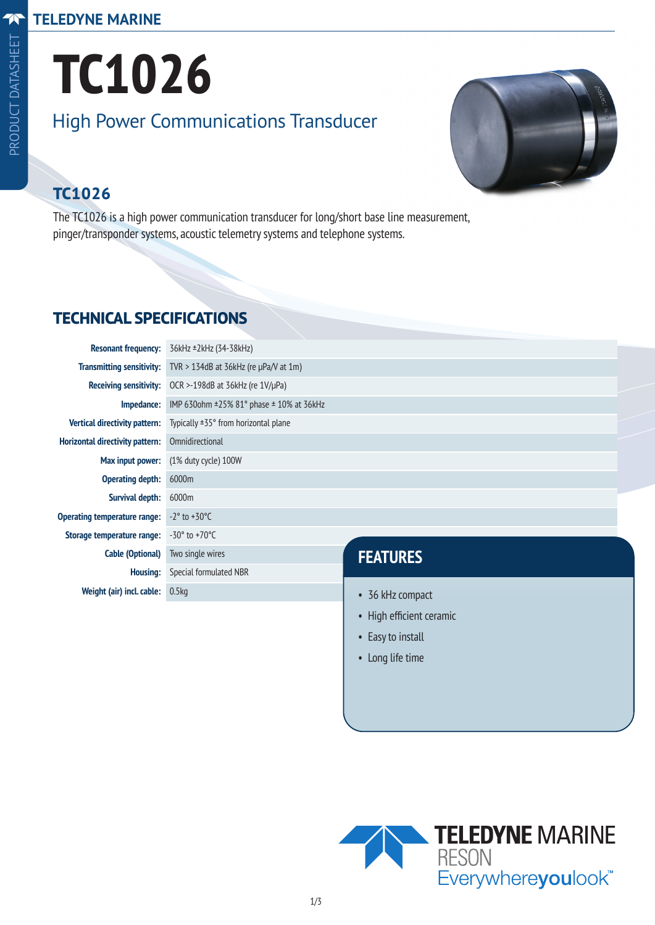#### **TELEDYNE MARINE**

# **TC1026** High Power Communications Transducer



## **TC1026**

The TC1026 is a high power communication transducer for long/short base line measurement, pinger/transponder systems, acoustic telemetry systems and telephone systems.

#### **TECHNICAL SPECIFICATIONS**

| <b>Resonant frequency:</b>             | 36kHz ±2kHz (34-38kHz)                             |                             |  |
|----------------------------------------|----------------------------------------------------|-----------------------------|--|
| <b>Transmitting sensitivity:</b>       | TVR > 134dB at 36kHz (re $\mu$ Pa/V at 1m)         |                             |  |
| <b>Receiving sensitivity:</b>          | OCR >-198dB at 36kHz (re $1V/\mu Pa$ )             |                             |  |
| Impedance:                             | IMP 630ohm $\pm$ 25% 81° phase $\pm$ 10% at 36kHz  |                             |  |
| <b>Vertical directivity pattern:</b>   | Typically $\pm$ 35 $\degree$ from horizontal plane |                             |  |
| <b>Horizontal directivity pattern:</b> | Omnidirectional                                    |                             |  |
| Max input power:                       | $(1\%$ duty cycle) $100W$                          |                             |  |
| <b>Operating depth:</b>                | 6000m                                              |                             |  |
| <b>Survival depth:</b>                 | 6000m                                              |                             |  |
| Operating temperature range:           | $-2^\circ$ to $+30^\circ$ C                        |                             |  |
| Storage temperature range:             | $-30^{\circ}$ to $+70^{\circ}$ C                   |                             |  |
| <b>Cable (Optional)</b>                | Two single wires                                   | <b>FEATURES</b>             |  |
| <b>Housing:</b>                        | Special formulated NBR                             |                             |  |
| Weight (air) incl. cable:              | 0.5kg                                              | 36 kHz compact<br>$\bullet$ |  |
|                                        |                                                    |                             |  |

- High efficient ceramic
- Easy to install
- Long life time

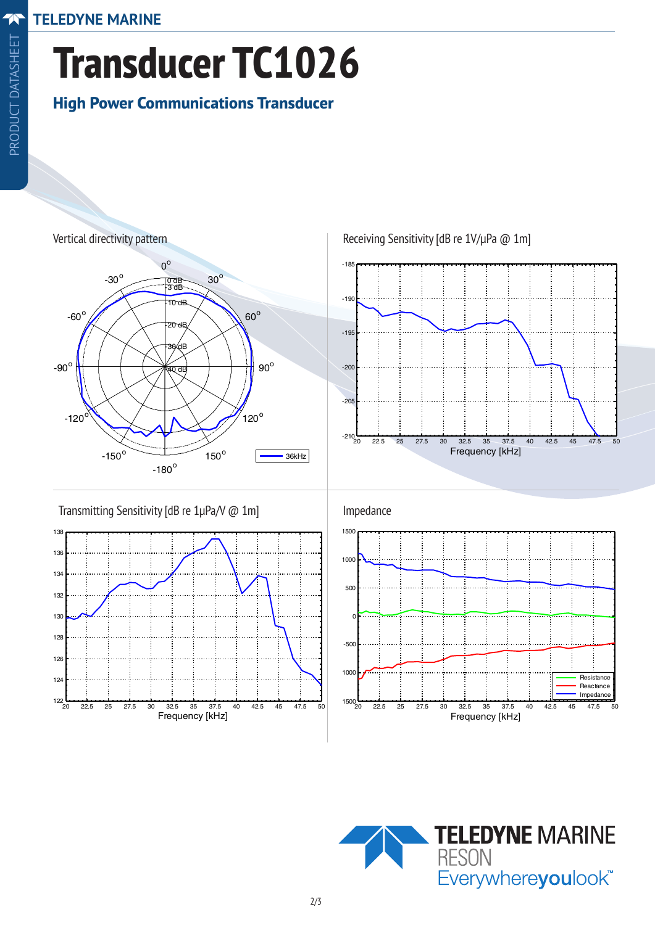**TELEDYNE MARINE** Teledyne RESON Transducer TC1026

### **Transducer TC1026**  $T = 0.12726$  $\overline{6}$ High Power Communications Transducer Transducer Transducer Transducer Transducer Transducer Transducer Transducer Transducer Transducer Transducer<br>Transducer Transducer Transducer Transducer Transducer Transducer Transducer Transducer Transducer Transducer<br>Tr Transducer Transducer Transducer Transducer Transducer Transducer Transducer Transducer Transducer Transducer<br>Transducer Transducer Transducer Transducer Transducer Transducer Transducer Transducer Transducer Transducer<br>Tr

# Transducer Transducer Transducer Transducer Transducer Transducer Transducer Transducer Transducer Transducer<br>The C10266 Second Transducer Transducer Transducer Transducer Transducer Transducer Transducer Transducer Trans<br> **High Power Communications Transducer**

Transmitting Directional Response

-30<sup>o</sup>

Transmitting Directional Response

Vertical directivity pattern

Vertical directivity pattern



Receiving Sensitivity [dB re 1V/µPa @ 1m]



Transmitting Sensitivity [dB re 1µPa/V @ 1m]